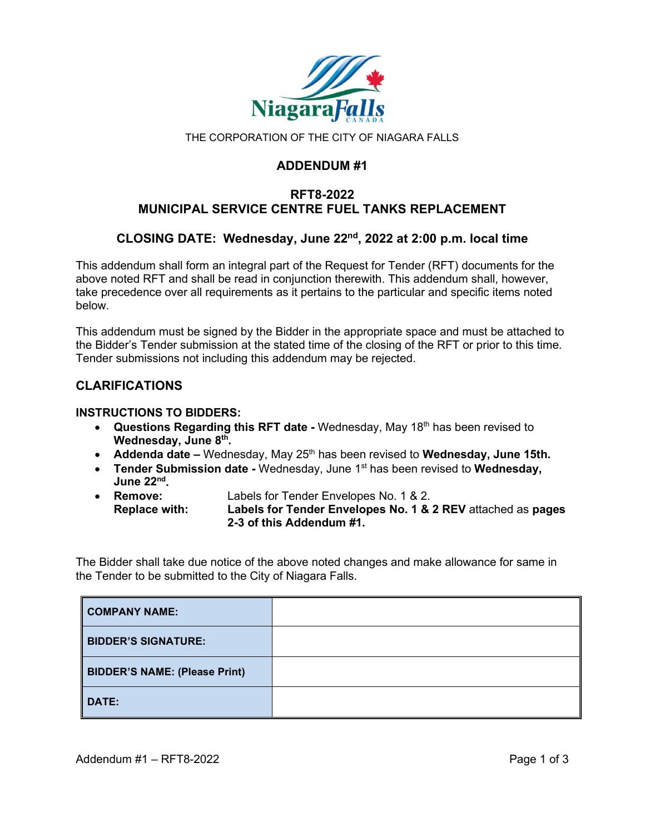

THE CORPORATION OF THE CITY OF NIAGARA FALLS

## **ADDENDUM #1**

# **RFT8-2022 MUNICIPAL SERVICE CENTRE FUEL TANKS REPLACEMENT**

# **CLOSING DATE: Wednesday, June 22nd, 2022 at 2:00 p.m. local time**

This addendum shall form an integral part of the Request for Tender (RFT) documents for the above noted RFT and shall be read in conjunction therewith. This addendum shall, however, take precedence over all requirements as it pertains to the particular and specific items noted below.

This addendum must be signed by the Bidder in the appropriate space and must be attached to the Bidder's Tender submission at the stated time of the closing of the RFT or prior to this time. Tender submissions not including this addendum may be rejected.

## **CLARIFICATIONS**

#### **INSTRUCTIONS TO BIDDERS:**

- **Questions Regarding this RFT date -** Wednesday, May 18th has been revised to **Wednesday, June 8th.**
- **Addenda date –** Wednesday, May 25<sup>th</sup> has been revised to **Wednesday, June 15th.**
- **Tender Submission date -** Wednesday, June 1<sup>st</sup> has been revised to **Wednesday**, **June 22nd.**
- **Remove:** Labels for Tender Envelopes No. 1 & 2. **Replace with: Labels for Tender Envelopes No. 1 & 2 REV** attached as **pages 2-3 of this Addendum #1.**

The Bidder shall take due notice of the above noted changes and make allowance for same in the Tender to be submitted to the City of Niagara Falls.

| COMPANY NAME:                        |  |
|--------------------------------------|--|
| <b>BIDDER'S SIGNATURE:</b>           |  |
| <b>BIDDER'S NAME: (Please Print)</b> |  |
| DATE:                                |  |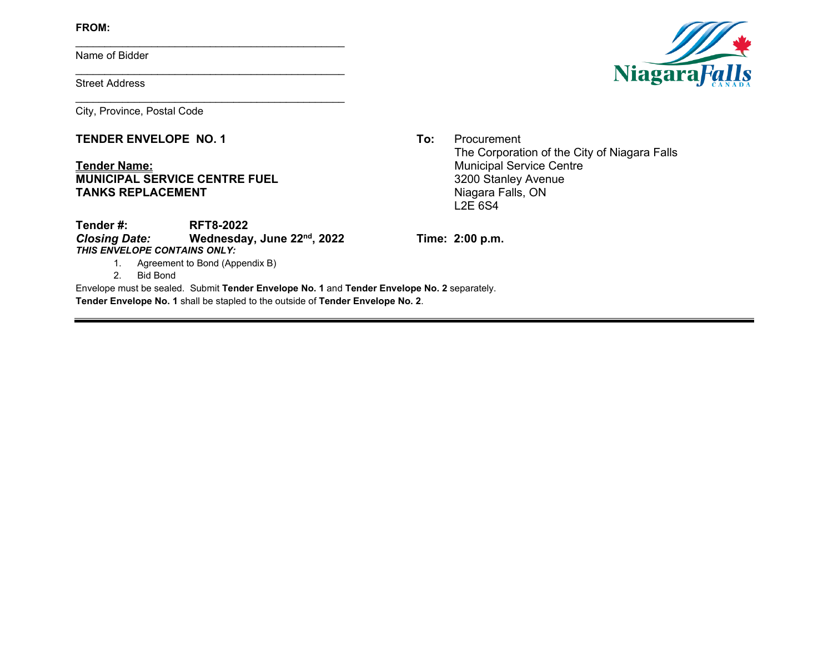**FROM:**

Name of Bidder

Street Address

City, Province, Postal Code

### **TENDER ENVELOPE NO. 1 To:** Procurement

### **Tender Name:**<br> **MUNICIPAL SERVICE CENTRE FUEL**<br> **MUNICIPAL SERVICE CENTRE FUEL**<br> **MUNICIPAL SERVICE CENTRE FUEL**<br> **MUNICIPAL SERVICE CENTRE FUEL MUNICIPAL SERVICE CENTRE FUEL**<br> **TANKS REPLACEMENT**<br>
Niagara Falls, ON **TANKS REPLACEMENT**



The Corporation of the City of Niagara Falls L2E 6S4

**Tender #: RFT8-2022**<br>Closing Date: **Wednesday** *Closing Date:* **Wednesday, June 22nd, 2022 Time: 2:00 p.m.** *THIS ENVELOPE CONTAINS ONLY:*

\_\_\_\_\_\_\_\_\_\_\_\_\_\_\_\_\_\_\_\_\_\_\_\_\_\_\_\_\_\_\_\_\_\_\_\_\_\_\_\_\_\_\_\_\_\_

\_\_\_\_\_\_\_\_\_\_\_\_\_\_\_\_\_\_\_\_\_\_\_\_\_\_\_\_\_\_\_\_\_\_\_\_\_\_\_\_\_\_\_\_\_\_

\_\_\_\_\_\_\_\_\_\_\_\_\_\_\_\_\_\_\_\_\_\_\_\_\_\_\_\_\_\_\_\_\_\_\_\_\_\_\_\_\_\_\_\_\_\_

1. Agreement to Bond (Appendix B)

2. Bid Bond

Envelope must be sealed. Submit **Tender Envelope No. 1** and **Tender Envelope No. 2** separately. **Tender Envelope No. 1** shall be stapled to the outside of **Tender Envelope No. 2**.